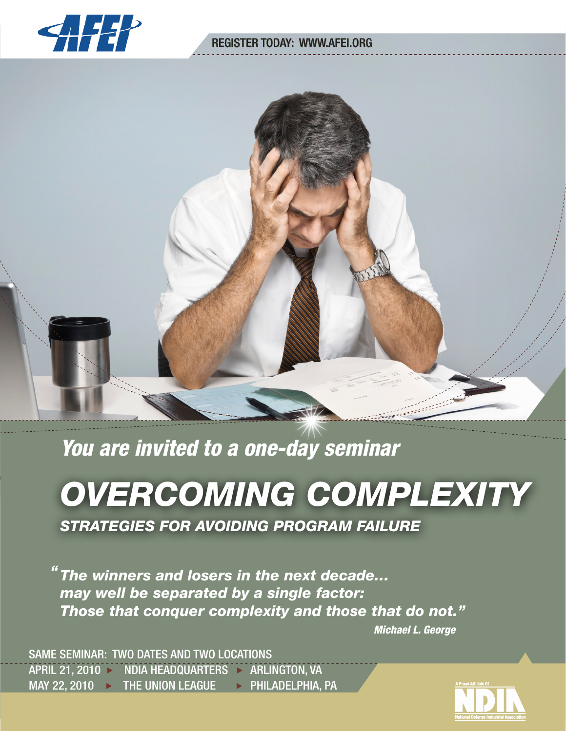

# **REGISTER TODAY: WWW.AFEI.ORG**



*You are invited to a one-day seminar*

# *OVERCOMING COMPLEXITY*

*STRATEGIES FOR AVOIDING PROGRAM FAILURE*

*The winners and losers in the next decade… "may well be separated by a single factor: Those that conquer complexity and those that do not."*

 *Michael L. George*

*COMPLEXITY AND PROGRAM MANAGEMENT* 

SAME SEMINAR: TWO DATES AND TWO LOCATIONS APRIL 21, 2010 > NDIA HEADQUARTERS > ARLINGTON, VA MAY 22, 2010 > THE UNION LEAGUE > PHILADELPHIA, PA

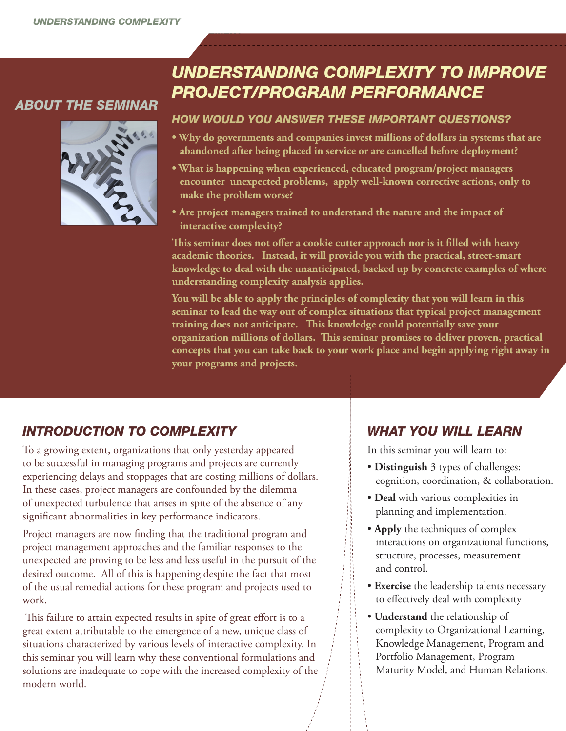*COMPLEXITY AND PROGRAM MANAGEMENT* 

# *ABOUT THE SEMINAR*



# *UNDERSTANDING COMPLEXITY TO IMPROVE PROJECT/PROGRAM PERFORMANCE*

#### *HOW WOULD YOU ANSWER THESE IMPORTANT QUESTIONS?*

- **Why do governments and companies invest millions of dollars in systems that are abandoned after being placed in service or are cancelled before deployment?**
- **What is happening when experienced, educated program/project managers encounter unexpected problems, apply well-known corrective actions, only to make the problem worse?**
- **Are project managers trained to understand the nature and the impact of interactive complexity?**

**This seminar does not offer a cookie cutter approach nor is it filled with heavy academic theories. Instead, it will provide you with the practical, street-smart knowledge to deal with the unanticipated, backed up by concrete examples of where understanding complexity analysis applies.** 

**You will be able to apply the principles of complexity that you will learn in this seminar to lead the way out of complex situations that typical project management training does not anticipate. This knowledge could potentially save your organization millions of dollars. This seminar promises to deliver proven, practical concepts that you can take back to your work place and begin applying right away in your programs and projects.** 

# *INTRODUCTION TO COMPLEXITY*

To a growing extent, organizations that only yesterday appeared to be successful in managing programs and projects are currently experiencing delays and stoppages that are costing millions of dollars. In these cases, project managers are confounded by the dilemma of unexpected turbulence that arises in spite of the absence of any significant abnormalities in key performance indicators.

Project managers are now finding that the traditional program and project management approaches and the familiar responses to the unexpected are proving to be less and less useful in the pursuit of the desired outcome. All of this is happening despite the fact that most of the usual remedial actions for these program and projects used to work.

 This failure to attain expected results in spite of great effort is to a great extent attributable to the emergence of a new, unique class of situations characterized by various levels of interactive complexity. In this seminar you will learn why these conventional formulations and solutions are inadequate to cope with the increased complexity of the modern world.

# *WHAT YOU WILL LEARN*

In this seminar you will learn to:

- **Distinguish** 3 types of challenges: cognition, coordination, & collaboration.
- **Deal** with various complexities in planning and implementation.
- **Apply** the techniques of complex interactions on organizational functions, structure, processes, measurement and control.
- **Exercise** the leadership talents necessary to effectively deal with complexity
- **Understand** the relationship of complexity to Organizational Learning, Knowledge Management, Program and Portfolio Management, Program Maturity Model, and Human Relations.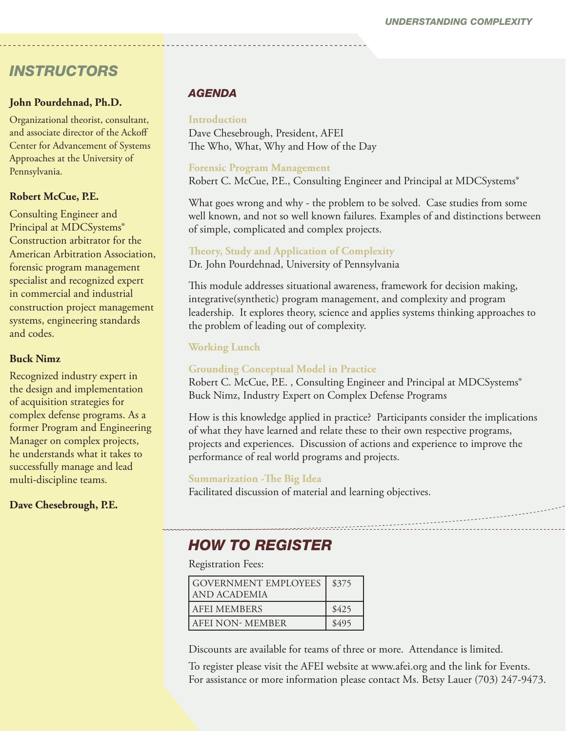# *INSTRUCTORS*

#### **John Pourdehnad, Ph.D.**

Organizational theorist, consultant, and associate director of the Ackoff Center for Advancement of Systems Approaches at the University of Pennsylvania.

#### **Robert McCue, P.E.**

Consulting Engineer and Principal at MDCSystems® Construction arbitrator for the American Arbitration Association, forensic program management specialist and recognized expert in commercial and industrial construction project management systems, engineering standards and codes.

### **Buck Nimz**

Recognized industry expert in the design and implementation of acquisition strategies for complex defense programs. As a former Program and Engineering Manager on complex projects, he understands what it takes to successfully manage and lead multi-discipline teams.

**Dave Chesebrough, P.E.**

# *AGENDA*

## **Introduction**

Dave Chesebrough, President, AFEI The Who, What, Why and How of the Day

### **Forensic Program Management**

Robert C. McCue, P.E., Consulting Engineer and Principal at MDCSystems®

What goes wrong and why - the problem to be solved. Case studies from some well known, and not so well known failures. Examples of and distinctions between of simple, complicated and complex projects.

### **Theory, Study and Application of Complexity**

Dr. John Pourdehnad, University of Pennsylvania

This module addresses situational awareness, framework for decision making, integrative(synthetic) program management, and complexity and program leadership. It explores theory, science and applies systems thinking approaches to the problem of leading out of complexity.

## **Working Lunch**

## **Grounding Conceptual Model in Practice**

Robert C. McCue, P.E., Consulting Engineer and Principal at MDCSystems® Buck Nimz, Industry Expert on Complex Defense Programs

How is this knowledge applied in practice? Participants consider the implications of what they have learned and relate these to their own respective programs, projects and experiences. Discussion of actions and experience to improve the performance of real world programs and projects.

#### **Summarization -The Big Idea**

Facilitated discussion of material and learning objectives.

# *HOW TO REGISTER*

Registration Fees:

| <b>GOVERNMENT EMPLOYEES</b><br>AND ACADEMIA | \$375 |
|---------------------------------------------|-------|
| <b>AFEI MEMBERS</b>                         | \$425 |
| AFEI NON- MEMBER                            | \$495 |

Discounts are available for teams of three or more. Attendance is limited.

To register please visit the AFEI website at www.afei.org and the link for Events. For assistance or more information please contact Ms. Betsy Lauer (703) 247-9473.